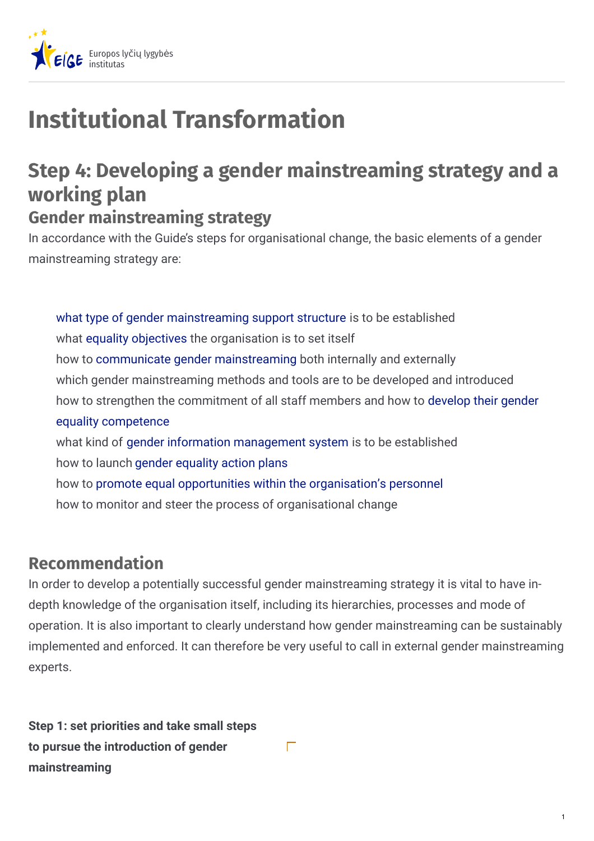

# **Institutional Transformation**

## **Step 4: Developing a gender mainstreaming strategy and a working plan Gender mainstreaming strategy**

In accordance with the Guide's steps for organisational change, the basic elements of a gender mainstreaming strategy are:

what type of gender [mainstreaming](https://eige.europa.eu/gender-mainstreaming/tools-and-methods/gender-mainstreaming-and-institutional-transformation/step-5-establishing-gender-mainstreaming-support-structure) support structure is to be established what equality [objectives](https://eige.europa.eu/gender-mainstreaming/tools-and-methods/gender-mainstreaming-and-institutional-transformation/step-6-setting-gender-equality-objectives) the organisation is to set itself how to communicate gender [mainstreaming](https://eige.europa.eu/gender-mainstreaming/tools-and-methods/gender-mainstreaming-and-institutional-transformation/step-7-communicating-gender-mainstreaming) both internally and externally which gender mainstreaming methods and tools are to be developed and introduced how to strengthen the [commitment](https://eige.europa.eu/gender-mainstreaming/tools-and-methods/gender-mainstreaming-and-institutional-transformation/step-9-developing-gender-equality-competence) of all staff members and how to develop their gender equality competence what kind of gender information [management](https://eige.europa.eu/gender-mainstreaming/tools-and-methods/gender-mainstreaming-and-institutional-transformation/step-10-establishing-gender-information-management-system) system is to be established how to launch gender [equality](https://eige.europa.eu/gender-mainstreaming/tools-and-methods/gender-mainstreaming-and-institutional-transformation/step-11-launching-gender-equality-action-plans) action plans how to promote equal opportunities within the [organisation's](https://eige.europa.eu/gender-mainstreaming/tools-and-methods/gender-mainstreaming-and-institutional-transformation/step-12-promotional-equal-opportunities-within-organisations-personnel) personnel how to monitor and steer the process of organisational change

## **Recommendation**

In order to develop a potentially successful gender mainstreaming strategy it is vital to have indepth knowledge of the organisation itself, including its hierarchies, processes and mode of operation. It is also important to clearly understand how gender mainstreaming can be sustainably implemented and enforced. It can therefore be very useful to call in external gender mainstreaming experts.

 $\Gamma$ 

**Step 1: set priorities and take small steps to pursue the introduction of gender mainstreaming**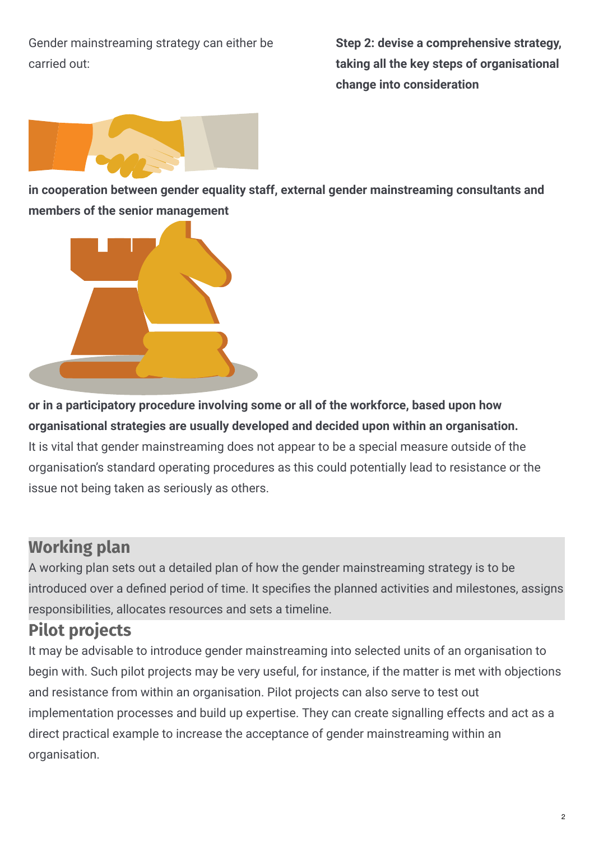Gender mainstreaming strategy can either be carried out:

**Step 2: devise a comprehensive strategy, taking all the key steps of organisational change into consideration**



**in cooperation between gender equality staff, external gender mainstreaming consultants and members of the senior management**



**or in a participatory procedure involving some or all of the workforce, based upon how organisational strategies are usually developed and decided upon within an organisation.** It is vital that gender mainstreaming does not appear to be a special measure outside of the organisation's standard operating procedures as this could potentially lead to resistance or the issue not being taken as seriously as others.

## **Working plan**

A working plan sets out a detailed plan of how the gender mainstreaming strategy is to be introduced over a defined period of time. It specifies the planned activities and milestones, assigns responsibilities, allocates resources and sets a timeline.

## **Pilot projects**

It may be advisable to introduce gender mainstreaming into selected units of an organisation to begin with. Such pilot projects may be very useful, for instance, if the matter is met with objections and resistance from within an organisation. Pilot projects can also serve to test out implementation processes and build up expertise. They can create signalling effects and act as a direct practical example to increase the acceptance of gender mainstreaming within an organisation.